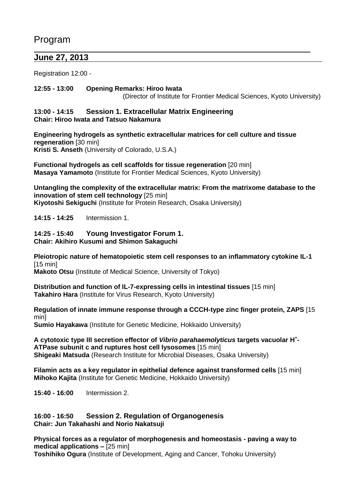# Program

 $\overline{a}$ 

## **June 27, 2013**

Registration 12:00 -

### **12:55 - 13:00 Opening Remarks: Hiroo Iwata**

(Director of Institute for Frontier Medical Sciences, Kyoto University)

### **13:00 - 14:15 Session 1. Extracellular Matrix Engineering Chair: Hiroo Iwata and Tatsuo Nakamura**

**Engineering hydrogels as synthetic extracellular matrices for cell culture and tissue regeneration** [30 min] **Kristi S. Anseth** (University of Colorado, U.S.A.)

**Functional hydrogels as cell scaffolds for tissue regeneration** [20 min] **Masaya Yamamoto** (Institute for Frontier Medical Sciences, Kyoto University)

**Untangling the complexity of the extracellular matrix: From the matrixome database to the innovation of stem cell technology** [25 min] **Kiyotoshi Sekiguchi** (Institute for Protein Research, Osaka University)

**14:15 - 14:25** Intermission 1.

# **14:25 - 15:40 Young Investigator Forum 1.**

**Chair: Akihiro Kusumi and Shimon Sakaguchi** 

**Pleiotropic nature of hematopoietic stem cell responses to an inflammatory cytokine IL-1**  $[15 \text{ min}]$ 

**Makoto Otsu** (Institute of Medical Science, University of Tokyo)

**Distribution and function of IL-7-expressing cells in intestinal tissues** [15 min] **Takahiro Hara** (Institute for Virus Research, Kyoto University)

**Regulation of innate immune response through a CCCH-type zinc finger protein, ZAPS** [15 min]

**Sumio Hayakawa** (Institute for Genetic Medicine, Hokkaido University)

**A cytotoxic type III secretion effector of** *Vibrio parahaemolyticus* **targets vacuolar H<sup>+</sup> - ATPase subunit c and ruptures host cell lysosomes** [15 min] **Shigeaki Matsuda** (Research Institute for Microbial Diseases, Osaka University)

**Filamin acts as a key regulator in epithelial defence against transformed cells** [15 min] **Mihoko Kajita** (Institute for Genetic Medicine, Hokkaido University)

**15:40 - 16:00** Intermission 2.

### **16:00 - 16:50 Session 2. Regulation of Organogenesis Chair: Jun Takahashi and Norio Nakatsuji**

**Physical forces as a regulator of morphogenesis and homeostasis - paving a way to medical applications –** [25 min] **Toshihiko Ogura** (Institute of Development, Aging and Cancer, Tohoku University)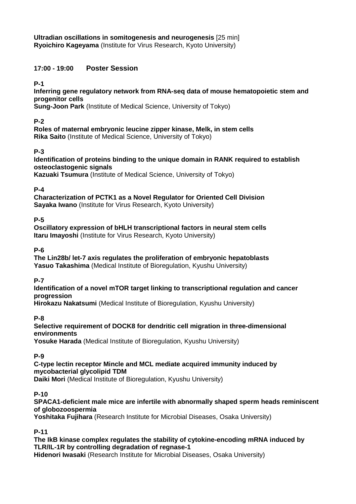**Ultradian oscillations in somitogenesis and neurogenesis** [25 min] **Ryoichiro Kageyama** (Institute for Virus Research, Kyoto University)

### **17:00 - 19:00 Poster Session**

**P-1**

**Inferring gene regulatory network from RNA-seq data of mouse hematopoietic stem and progenitor cells**

**Sung-Joon Park** (Institute of Medical Science, University of Tokyo)

### **P-2**

**Roles of maternal embryonic leucine zipper kinase, Melk, in stem cells Rika Saito** (Institute of Medical Science, University of Tokyo)

### **P-3**

**Identification of proteins binding to the unique domain in RANK required to establish osteoclastogenic signals**

**Kazuaki Tsumura** (Institute of Medical Science, University of Tokyo)

### **P-4**

**Characterization of PCTK1 as a Novel Regulator for Oriented Cell Division Sayaka Iwano** (Institute for Virus Research, Kyoto University)

### **P-5**

**Oscillatory expression of bHLH transcriptional factors in neural stem cells Itaru Imayoshi** (Institute for Virus Research, Kyoto University)

### **P-6**

**The Lin28b/ let-7 axis regulates the proliferation of embryonic hepatoblasts Yasuo Takashima** (Medical Institute of Bioregulation, Kyushu University)

### **P-7**

**Identification of a novel mTOR target linking to transcriptional regulation and cancer progression**

**Hirokazu Nakatsumi** (Medical Institute of Bioregulation, Kyushu University)

### **P-8**

**Selective requirement of DOCK8 for dendritic cell migration in three-dimensional environments**

**Yosuke Harada** (Medical Institute of Bioregulation, Kyushu University)

### **P-9**

**C-type lectin receptor Mincle and MCL mediate acquired immunity induced by mycobacterial glycolipid TDM** 

**Daiki Mori** (Medical Institute of Bioregulation, Kyushu University)

### **P-10**

**SPACA1-deficient male mice are infertile with abnormally shaped sperm heads reminiscent of globozoospermia**

**Yoshitaka Fujihara** (Research Institute for Microbial Diseases, Osaka University)

**P-11**

**The IkB kinase complex regulates the stability of cytokine-encoding mRNA induced by TLR/IL-1R by controlling degradation of regnase-1**

**Hidenori Iwasaki** (Research Institute for Microbial Diseases, Osaka University)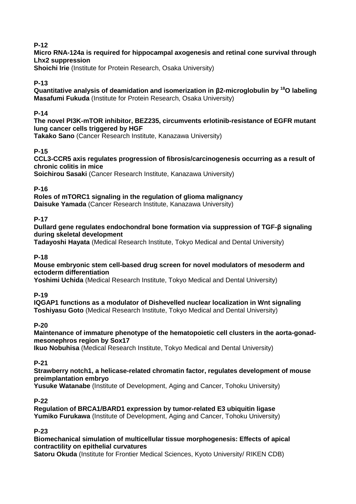### **P-12**

### **Micro RNA-124a is required for hippocampal axogenesis and retinal cone survival through Lhx2 suppression**

**Shoichi Irie** (Institute for Protein Research, Osaka University)

### **P-13**

**Quantitative analysis of deamidation and isomerization in β2-microglobulin by <sup>18</sup>O labeling Masafumi Fukuda** (Institute for Protein Research, Osaka University)

### **P-14**

**The novel PI3K-mTOR inhibitor, BEZ235, circumvents erlotinib-resistance of EGFR mutant lung cancer cells triggered by HGF**

**Takako Sano** (Cancer Research Institute, Kanazawa University)

### **P-15**

**CCL3-CCR5 axis regulates progression of fibrosis/carcinogenesis occurring as a result of chronic colitis in mice**

**Soichirou Sasaki** (Cancer Research Institute, Kanazawa University)

### **P-16**

**Roles of mTORC1 signaling in the regulation of glioma malignancy Daisuke Yamada** (Cancer Research Institute, Kanazawa University)

### **P-17**

**Dullard gene regulates endochondral bone formation via suppression of TGF-β signaling during skeletal development**

**Tadayoshi Hayata** (Medical Research Institute, Tokyo Medical and Dental University)

### **P-18**

**Mouse embryonic stem cell-based drug screen for novel modulators of mesoderm and ectoderm differentiation**

**Yoshimi Uchida** (Medical Research Institute, Tokyo Medical and Dental University)

**P-19**

**IQGAP1 functions as a modulator of Dishevelled nuclear localization in Wnt signaling Toshiyasu Goto** (Medical Research Institute, Tokyo Medical and Dental University)

### **P-20**

**Maintenance of immature phenotype of the hematopoietic cell clusters in the aorta-gonadmesonephros region by Sox17**

**Ikuo Nobuhisa** (Medical Research Institute, Tokyo Medical and Dental University)

**P-21**

**Strawberry notch1, a helicase-related chromatin factor, regulates development of mouse preimplantation embryo**

**Yusuke Watanabe** (Institute of Development, Aging and Cancer, Tohoku University)

### **P-22**

**Regulation of BRCA1/BARD1 expression by tumor-related E3 ubiquitin ligase Yumiko Furukawa** (Institute of Development, Aging and Cancer, Tohoku University)

### **P-23**

### **Biomechanical simulation of multicellular tissue morphogenesis: Effects of apical contractility on epithelial curvatures**

**Satoru Okuda** (Institute for Frontier Medical Sciences, Kyoto University/ RIKEN CDB)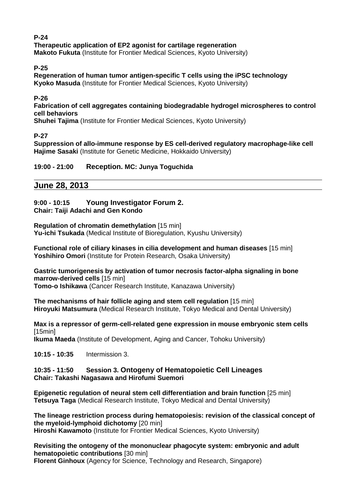#### **P-24 Therapeutic application of EP2 agonist for cartilage regeneration Makoto Fukuta** (Institute for Frontier Medical Sciences, Kyoto University)

**P-25**

**Regeneration of human tumor antigen-specific T cells using the iPSC technology Kyoko Masuda** (Institute for Frontier Medical Sciences, Kyoto University)

**P-26**

**Fabrication of cell aggregates containing biodegradable hydrogel microspheres to control cell behaviors**

**Shuhei Tajima** (Institute for Frontier Medical Sciences, Kyoto University)

**P-27**

**Suppression of allo-immune response by ES cell-derived regulatory macrophage-like cell Hajime Sasaki** (Institute for Genetic Medicine, Hokkaido University)

### **19:00 - 21:00 Reception. MC: Junya Toguchida**

### **June 28, 2013**

## **9:00 - 10:15 Young Investigator Forum 2.**

**Chair: Taiji Adachi and Gen Kondo**

**Regulation of chromatin demethylation** [15 min] **Yu-ichi Tsukada** (Medical Institute of Bioregulation, Kyushu University)

**Functional role of ciliary kinases in cilia development and human diseases** [15 min] Yoshihiro Omori (Institute for Protein Research, Osaka University)

**Gastric tumorigenesis by activation of tumor necrosis factor-alpha signaling in bone marrow-derived cells** [15 min] **Tomo-o Ishikawa** (Cancer Research Institute, Kanazawa University)

**The mechanisms of hair follicle aging and stem cell regulation** [15 min] **Hiroyuki Matsumura** (Medical Research Institute, Tokyo Medical and Dental University)

**Max is a repressor of germ-cell-related gene expression in mouse embryonic stem cells** [15min]

**Ikuma Maeda** (Institute of Development, Aging and Cancer, Tohoku University)

**10:15 - 10:35** Intermission 3.

#### **10:35 - 11:50 Session 3. Ontogeny of Hematopoietic Cell Lineages Chair: Takashi Nagasawa and Hirofumi Suemori**

**Epigenetic regulation of neural stem cell differentiation and brain function** [25 min] **Tetsuya Taga** (Medical Research Institute, Tokyo Medical and Dental University)

**The lineage restriction process during hematopoiesis: revision of the classical concept of the myeloid-lymphoid dichotomy** [20 min] **Hiroshi Kawamoto** (Institute for Frontier Medical Sciences, Kyoto University)

**Revisiting the ontogeny of the mononuclear phagocyte system: embryonic and adult hematopoietic contributions** [30 min] **Florent Ginhoux** (Agency for Science, Technology and Research, Singapore)